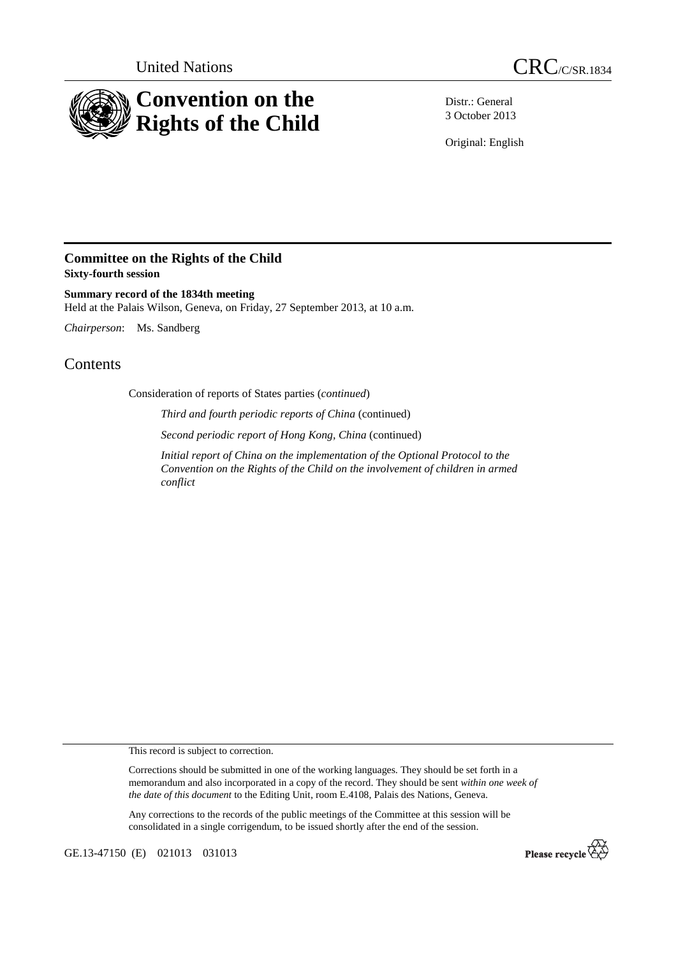



Distr.: General 3 October 2013

Original: English

## **Committee on the Rights of the Child Sixty-fourth session**

**Summary record of the 1834th meeting**  Held at the Palais Wilson, Geneva, on Friday, 27 September 2013, at 10 a.m.

*Chairperson*: Ms. Sandberg

## **Contents**

Consideration of reports of States parties (*continued*)

 *Third and fourth periodic reports of China* (continued)

 *Second periodic report of Hong Kong, China* (continued)

*Initial report of China on the implementation of the Optional Protocol to the Convention on the Rights of the Child on the involvement of children in armed conflict*

This record is subject to correction.

Corrections should be submitted in one of the working languages. They should be set forth in a memorandum and also incorporated in a copy of the record. They should be sent *within one week of the date of this document* to the Editing Unit, room E.4108, Palais des Nations, Geneva.

Any corrections to the records of the public meetings of the Committee at this session will be consolidated in a single corrigendum, to be issued shortly after the end of the session.

GE.13-47150 (E) 021013 031013

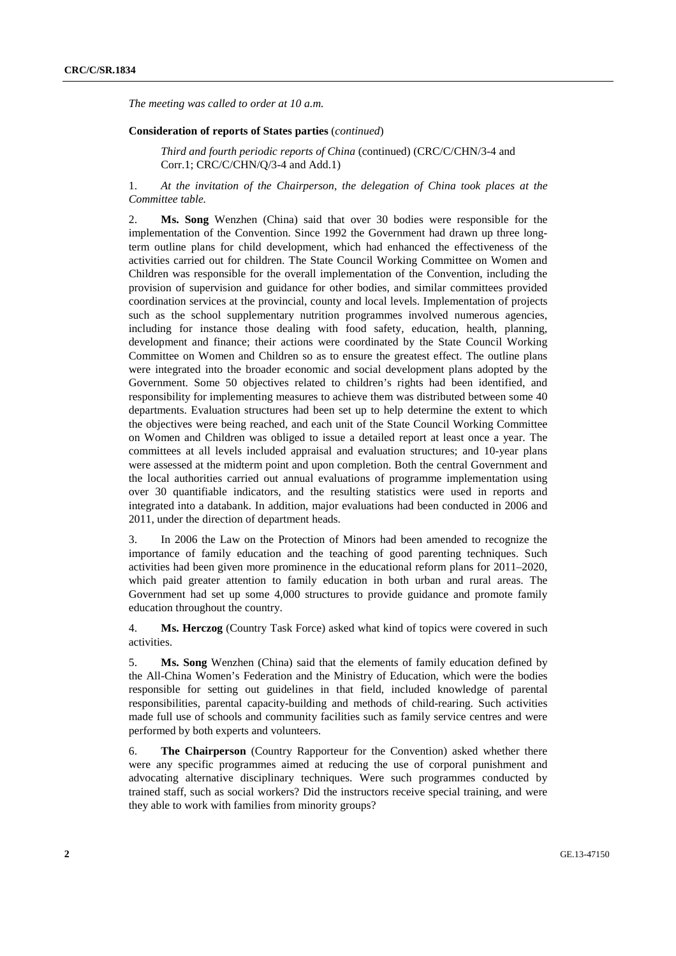*The meeting was called to order at 10 a.m.* 

## **Consideration of reports of States parties** (*continued*)

*Third and fourth periodic reports of China* (continued) (CRC/C/CHN/3-4 and Corr.1; CRC/C/CHN/Q/3-4 and Add.1)

1. *At the invitation of the Chairperson, the delegation of China took places at the Committee table.* 

2. **Ms. Song** Wenzhen (China) said that over 30 bodies were responsible for the implementation of the Convention. Since 1992 the Government had drawn up three longterm outline plans for child development, which had enhanced the effectiveness of the activities carried out for children. The State Council Working Committee on Women and Children was responsible for the overall implementation of the Convention, including the provision of supervision and guidance for other bodies, and similar committees provided coordination services at the provincial, county and local levels. Implementation of projects such as the school supplementary nutrition programmes involved numerous agencies, including for instance those dealing with food safety, education, health, planning, development and finance; their actions were coordinated by the State Council Working Committee on Women and Children so as to ensure the greatest effect. The outline plans were integrated into the broader economic and social development plans adopted by the Government. Some 50 objectives related to children's rights had been identified, and responsibility for implementing measures to achieve them was distributed between some 40 departments. Evaluation structures had been set up to help determine the extent to which the objectives were being reached, and each unit of the State Council Working Committee on Women and Children was obliged to issue a detailed report at least once a year. The committees at all levels included appraisal and evaluation structures; and 10-year plans were assessed at the midterm point and upon completion. Both the central Government and the local authorities carried out annual evaluations of programme implementation using over 30 quantifiable indicators, and the resulting statistics were used in reports and integrated into a databank. In addition, major evaluations had been conducted in 2006 and 2011, under the direction of department heads.

3. In 2006 the Law on the Protection of Minors had been amended to recognize the importance of family education and the teaching of good parenting techniques. Such activities had been given more prominence in the educational reform plans for 2011–2020, which paid greater attention to family education in both urban and rural areas. The Government had set up some 4,000 structures to provide guidance and promote family education throughout the country.

4. **Ms. Herczog** (Country Task Force) asked what kind of topics were covered in such activities.

5. **Ms. Song** Wenzhen (China) said that the elements of family education defined by the All-China Women's Federation and the Ministry of Education, which were the bodies responsible for setting out guidelines in that field, included knowledge of parental responsibilities, parental capacity-building and methods of child-rearing. Such activities made full use of schools and community facilities such as family service centres and were performed by both experts and volunteers.

6. **The Chairperson** (Country Rapporteur for the Convention) asked whether there were any specific programmes aimed at reducing the use of corporal punishment and advocating alternative disciplinary techniques. Were such programmes conducted by trained staff, such as social workers? Did the instructors receive special training, and were they able to work with families from minority groups?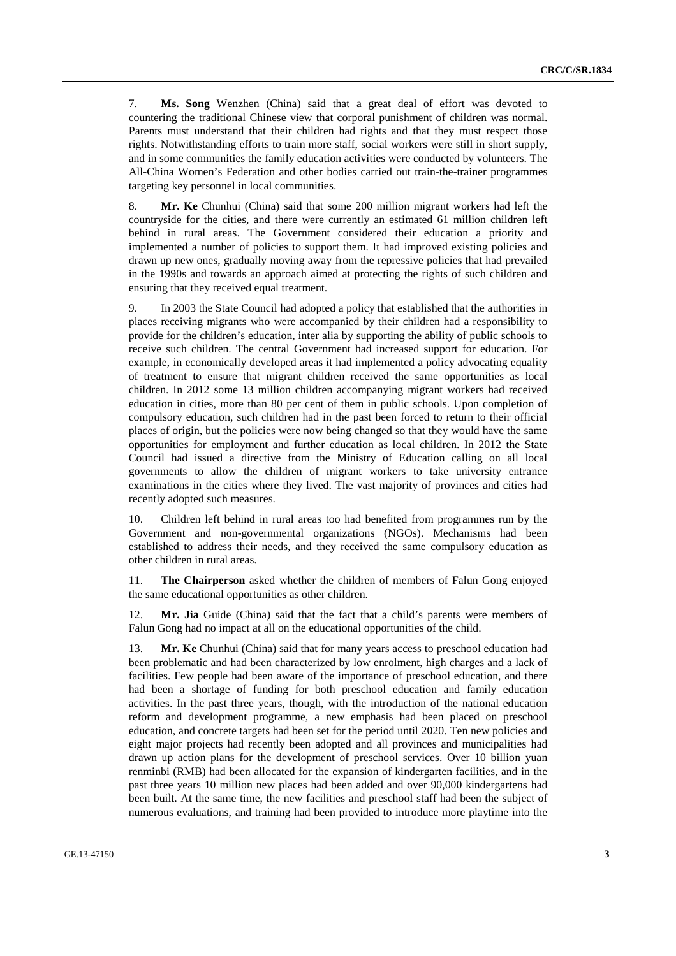7. **Ms. Song** Wenzhen (China) said that a great deal of effort was devoted to countering the traditional Chinese view that corporal punishment of children was normal. Parents must understand that their children had rights and that they must respect those rights. Notwithstanding efforts to train more staff, social workers were still in short supply, and in some communities the family education activities were conducted by volunteers. The All-China Women's Federation and other bodies carried out train-the-trainer programmes targeting key personnel in local communities.

8. **Mr. Ke** Chunhui (China) said that some 200 million migrant workers had left the countryside for the cities, and there were currently an estimated 61 million children left behind in rural areas. The Government considered their education a priority and implemented a number of policies to support them. It had improved existing policies and drawn up new ones, gradually moving away from the repressive policies that had prevailed in the 1990s and towards an approach aimed at protecting the rights of such children and ensuring that they received equal treatment.

9. In 2003 the State Council had adopted a policy that established that the authorities in places receiving migrants who were accompanied by their children had a responsibility to provide for the children's education, inter alia by supporting the ability of public schools to receive such children. The central Government had increased support for education. For example, in economically developed areas it had implemented a policy advocating equality of treatment to ensure that migrant children received the same opportunities as local children. In 2012 some 13 million children accompanying migrant workers had received education in cities, more than 80 per cent of them in public schools. Upon completion of compulsory education, such children had in the past been forced to return to their official places of origin, but the policies were now being changed so that they would have the same opportunities for employment and further education as local children. In 2012 the State Council had issued a directive from the Ministry of Education calling on all local governments to allow the children of migrant workers to take university entrance examinations in the cities where they lived. The vast majority of provinces and cities had recently adopted such measures.

10. Children left behind in rural areas too had benefited from programmes run by the Government and non-governmental organizations (NGOs). Mechanisms had been established to address their needs, and they received the same compulsory education as other children in rural areas.

11. **The Chairperson** asked whether the children of members of Falun Gong enjoyed the same educational opportunities as other children.

12. **Mr. Jia** Guide (China) said that the fact that a child's parents were members of Falun Gong had no impact at all on the educational opportunities of the child.

13. **Mr. Ke** Chunhui (China) said that for many years access to preschool education had been problematic and had been characterized by low enrolment, high charges and a lack of facilities. Few people had been aware of the importance of preschool education, and there had been a shortage of funding for both preschool education and family education activities. In the past three years, though, with the introduction of the national education reform and development programme, a new emphasis had been placed on preschool education, and concrete targets had been set for the period until 2020. Ten new policies and eight major projects had recently been adopted and all provinces and municipalities had drawn up action plans for the development of preschool services. Over 10 billion yuan renminbi (RMB) had been allocated for the expansion of kindergarten facilities, and in the past three years 10 million new places had been added and over 90,000 kindergartens had been built. At the same time, the new facilities and preschool staff had been the subject of numerous evaluations, and training had been provided to introduce more playtime into the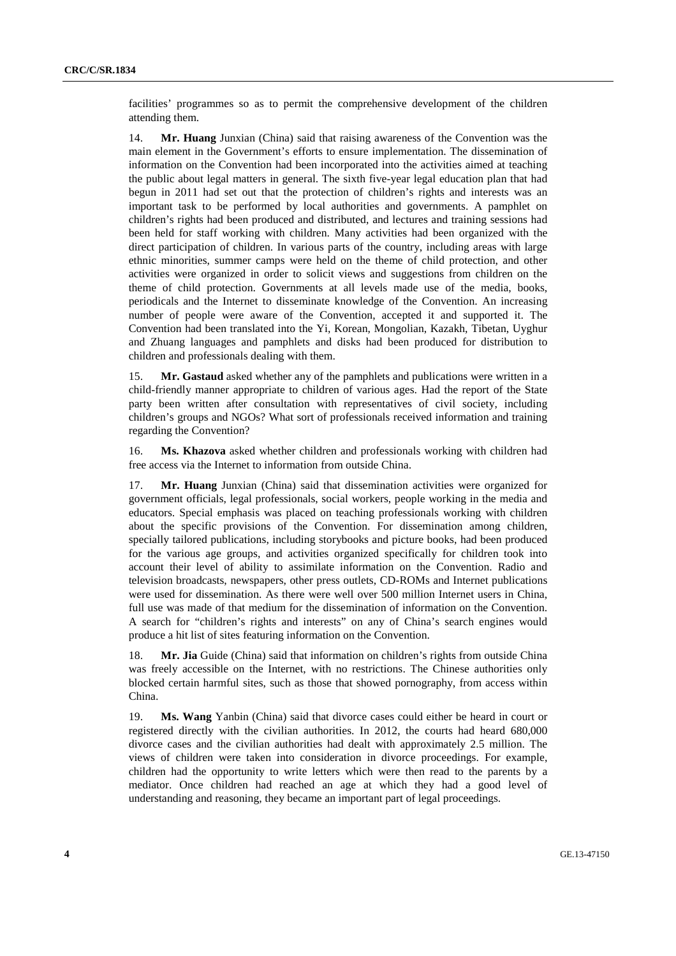facilities' programmes so as to permit the comprehensive development of the children attending them.

14. **Mr. Huang** Junxian (China) said that raising awareness of the Convention was the main element in the Government's efforts to ensure implementation. The dissemination of information on the Convention had been incorporated into the activities aimed at teaching the public about legal matters in general. The sixth five-year legal education plan that had begun in 2011 had set out that the protection of children's rights and interests was an important task to be performed by local authorities and governments. A pamphlet on children's rights had been produced and distributed, and lectures and training sessions had been held for staff working with children. Many activities had been organized with the direct participation of children. In various parts of the country, including areas with large ethnic minorities, summer camps were held on the theme of child protection, and other activities were organized in order to solicit views and suggestions from children on the theme of child protection. Governments at all levels made use of the media, books, periodicals and the Internet to disseminate knowledge of the Convention. An increasing number of people were aware of the Convention, accepted it and supported it. The Convention had been translated into the Yi, Korean, Mongolian, Kazakh, Tibetan, Uyghur and Zhuang languages and pamphlets and disks had been produced for distribution to children and professionals dealing with them.

15. **Mr. Gastaud** asked whether any of the pamphlets and publications were written in a child-friendly manner appropriate to children of various ages. Had the report of the State party been written after consultation with representatives of civil society, including children's groups and NGOs? What sort of professionals received information and training regarding the Convention?

16. **Ms. Khazova** asked whether children and professionals working with children had free access via the Internet to information from outside China.

17. **Mr. Huang** Junxian (China) said that dissemination activities were organized for government officials, legal professionals, social workers, people working in the media and educators. Special emphasis was placed on teaching professionals working with children about the specific provisions of the Convention. For dissemination among children, specially tailored publications, including storybooks and picture books, had been produced for the various age groups, and activities organized specifically for children took into account their level of ability to assimilate information on the Convention. Radio and television broadcasts, newspapers, other press outlets, CD-ROMs and Internet publications were used for dissemination. As there were well over 500 million Internet users in China, full use was made of that medium for the dissemination of information on the Convention. A search for "children's rights and interests" on any of China's search engines would produce a hit list of sites featuring information on the Convention.

18. **Mr. Jia** Guide (China) said that information on children's rights from outside China was freely accessible on the Internet, with no restrictions. The Chinese authorities only blocked certain harmful sites, such as those that showed pornography, from access within China.

19. **Ms. Wang** Yanbin (China) said that divorce cases could either be heard in court or registered directly with the civilian authorities. In 2012, the courts had heard 680,000 divorce cases and the civilian authorities had dealt with approximately 2.5 million. The views of children were taken into consideration in divorce proceedings. For example, children had the opportunity to write letters which were then read to the parents by a mediator. Once children had reached an age at which they had a good level of understanding and reasoning, they became an important part of legal proceedings.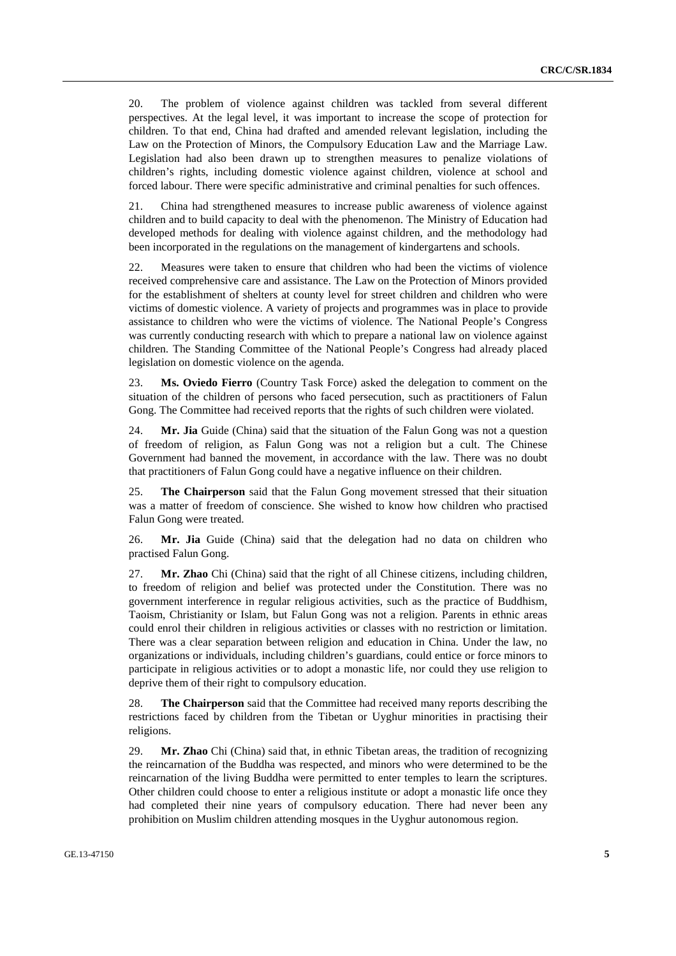20. The problem of violence against children was tackled from several different perspectives. At the legal level, it was important to increase the scope of protection for children. To that end, China had drafted and amended relevant legislation, including the Law on the Protection of Minors, the Compulsory Education Law and the Marriage Law. Legislation had also been drawn up to strengthen measures to penalize violations of children's rights, including domestic violence against children, violence at school and forced labour. There were specific administrative and criminal penalties for such offences.

21. China had strengthened measures to increase public awareness of violence against children and to build capacity to deal with the phenomenon. The Ministry of Education had developed methods for dealing with violence against children, and the methodology had been incorporated in the regulations on the management of kindergartens and schools.

22. Measures were taken to ensure that children who had been the victims of violence received comprehensive care and assistance. The Law on the Protection of Minors provided for the establishment of shelters at county level for street children and children who were victims of domestic violence. A variety of projects and programmes was in place to provide assistance to children who were the victims of violence. The National People's Congress was currently conducting research with which to prepare a national law on violence against children. The Standing Committee of the National People's Congress had already placed legislation on domestic violence on the agenda.

23. **Ms. Oviedo Fierro** (Country Task Force) asked the delegation to comment on the situation of the children of persons who faced persecution, such as practitioners of Falun Gong. The Committee had received reports that the rights of such children were violated.

24. **Mr. Jia** Guide (China) said that the situation of the Falun Gong was not a question of freedom of religion, as Falun Gong was not a religion but a cult. The Chinese Government had banned the movement, in accordance with the law. There was no doubt that practitioners of Falun Gong could have a negative influence on their children.

25. **The Chairperson** said that the Falun Gong movement stressed that their situation was a matter of freedom of conscience. She wished to know how children who practised Falun Gong were treated.

26. **Mr. Jia** Guide (China) said that the delegation had no data on children who practised Falun Gong.

27. **Mr. Zhao** Chi (China) said that the right of all Chinese citizens, including children, to freedom of religion and belief was protected under the Constitution. There was no government interference in regular religious activities, such as the practice of Buddhism, Taoism, Christianity or Islam, but Falun Gong was not a religion. Parents in ethnic areas could enrol their children in religious activities or classes with no restriction or limitation. There was a clear separation between religion and education in China. Under the law, no organizations or individuals, including children's guardians, could entice or force minors to participate in religious activities or to adopt a monastic life, nor could they use religion to deprive them of their right to compulsory education.

28. **The Chairperson** said that the Committee had received many reports describing the restrictions faced by children from the Tibetan or Uyghur minorities in practising their religions.

29. **Mr. Zhao** Chi (China) said that, in ethnic Tibetan areas, the tradition of recognizing the reincarnation of the Buddha was respected, and minors who were determined to be the reincarnation of the living Buddha were permitted to enter temples to learn the scriptures. Other children could choose to enter a religious institute or adopt a monastic life once they had completed their nine years of compulsory education. There had never been any prohibition on Muslim children attending mosques in the Uyghur autonomous region.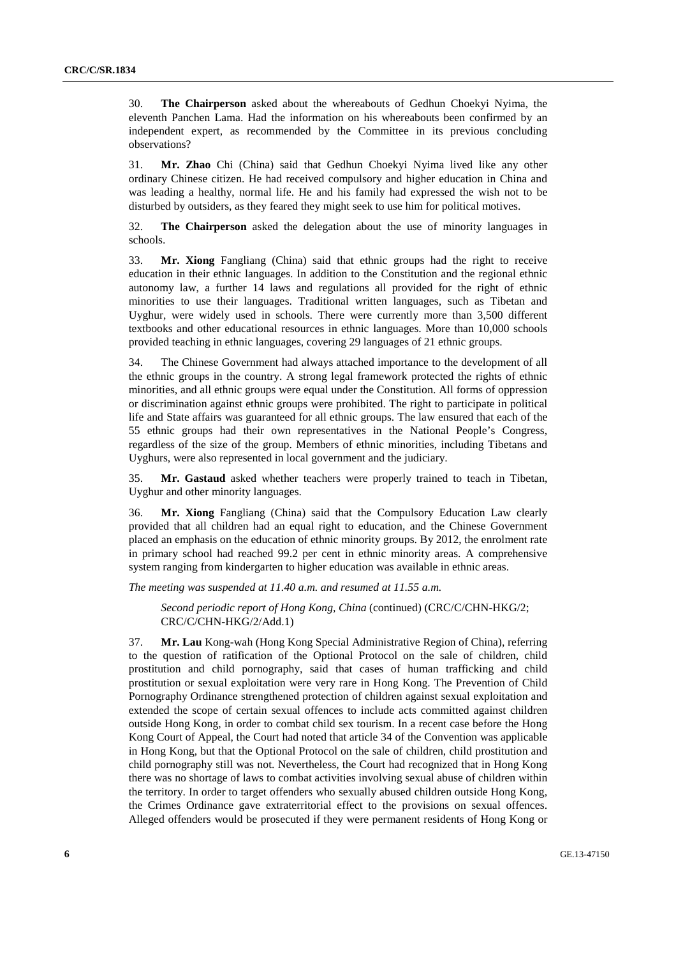30. **The Chairperson** asked about the whereabouts of Gedhun Choekyi Nyima, the eleventh Panchen Lama. Had the information on his whereabouts been confirmed by an independent expert, as recommended by the Committee in its previous concluding observations?

31. **Mr. Zhao** Chi (China) said that Gedhun Choekyi Nyima lived like any other ordinary Chinese citizen. He had received compulsory and higher education in China and was leading a healthy, normal life. He and his family had expressed the wish not to be disturbed by outsiders, as they feared they might seek to use him for political motives.

32. **The Chairperson** asked the delegation about the use of minority languages in schools.

33. **Mr. Xiong** Fangliang (China) said that ethnic groups had the right to receive education in their ethnic languages. In addition to the Constitution and the regional ethnic autonomy law, a further 14 laws and regulations all provided for the right of ethnic minorities to use their languages. Traditional written languages, such as Tibetan and Uyghur, were widely used in schools. There were currently more than 3,500 different textbooks and other educational resources in ethnic languages. More than 10,000 schools provided teaching in ethnic languages, covering 29 languages of 21 ethnic groups.

34. The Chinese Government had always attached importance to the development of all the ethnic groups in the country. A strong legal framework protected the rights of ethnic minorities, and all ethnic groups were equal under the Constitution. All forms of oppression or discrimination against ethnic groups were prohibited. The right to participate in political life and State affairs was guaranteed for all ethnic groups. The law ensured that each of the 55 ethnic groups had their own representatives in the National People's Congress, regardless of the size of the group. Members of ethnic minorities, including Tibetans and Uyghurs, were also represented in local government and the judiciary.

35. **Mr. Gastaud** asked whether teachers were properly trained to teach in Tibetan, Uyghur and other minority languages.

36. **Mr. Xiong** Fangliang (China) said that the Compulsory Education Law clearly provided that all children had an equal right to education, and the Chinese Government placed an emphasis on the education of ethnic minority groups. By 2012, the enrolment rate in primary school had reached 99.2 per cent in ethnic minority areas. A comprehensive system ranging from kindergarten to higher education was available in ethnic areas.

*The meeting was suspended at 11.40 a.m. and resumed at 11.55 a.m.* 

*Second periodic report of Hong Kong, China* (continued) (CRC/C/CHN-HKG/2; CRC/C/CHN-HKG/2/Add.1)

37. **Mr. Lau** Kong-wah (Hong Kong Special Administrative Region of China), referring to the question of ratification of the Optional Protocol on the sale of children, child prostitution and child pornography, said that cases of human trafficking and child prostitution or sexual exploitation were very rare in Hong Kong. The Prevention of Child Pornography Ordinance strengthened protection of children against sexual exploitation and extended the scope of certain sexual offences to include acts committed against children outside Hong Kong, in order to combat child sex tourism. In a recent case before the Hong Kong Court of Appeal, the Court had noted that article 34 of the Convention was applicable in Hong Kong, but that the Optional Protocol on the sale of children, child prostitution and child pornography still was not. Nevertheless, the Court had recognized that in Hong Kong there was no shortage of laws to combat activities involving sexual abuse of children within the territory. In order to target offenders who sexually abused children outside Hong Kong, the Crimes Ordinance gave extraterritorial effect to the provisions on sexual offences. Alleged offenders would be prosecuted if they were permanent residents of Hong Kong or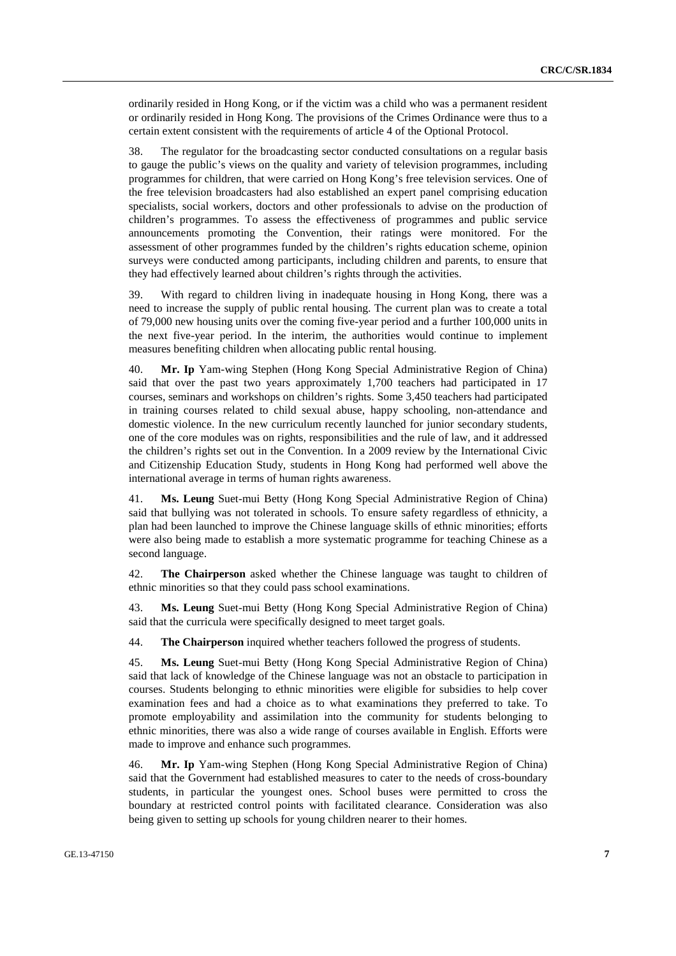ordinarily resided in Hong Kong, or if the victim was a child who was a permanent resident or ordinarily resided in Hong Kong. The provisions of the Crimes Ordinance were thus to a certain extent consistent with the requirements of article 4 of the Optional Protocol.

38. The regulator for the broadcasting sector conducted consultations on a regular basis to gauge the public's views on the quality and variety of television programmes, including programmes for children, that were carried on Hong Kong's free television services. One of the free television broadcasters had also established an expert panel comprising education specialists, social workers, doctors and other professionals to advise on the production of children's programmes. To assess the effectiveness of programmes and public service announcements promoting the Convention, their ratings were monitored. For the assessment of other programmes funded by the children's rights education scheme, opinion surveys were conducted among participants, including children and parents, to ensure that they had effectively learned about children's rights through the activities.

39. With regard to children living in inadequate housing in Hong Kong, there was a need to increase the supply of public rental housing. The current plan was to create a total of 79,000 new housing units over the coming five-year period and a further 100,000 units in the next five-year period. In the interim, the authorities would continue to implement measures benefiting children when allocating public rental housing.

40. **Mr. Ip** Yam-wing Stephen (Hong Kong Special Administrative Region of China) said that over the past two years approximately 1,700 teachers had participated in 17 courses, seminars and workshops on children's rights. Some 3,450 teachers had participated in training courses related to child sexual abuse, happy schooling, non-attendance and domestic violence. In the new curriculum recently launched for junior secondary students, one of the core modules was on rights, responsibilities and the rule of law, and it addressed the children's rights set out in the Convention. In a 2009 review by the International Civic and Citizenship Education Study, students in Hong Kong had performed well above the international average in terms of human rights awareness.

41. **Ms. Leung** Suet-mui Betty (Hong Kong Special Administrative Region of China) said that bullying was not tolerated in schools. To ensure safety regardless of ethnicity, a plan had been launched to improve the Chinese language skills of ethnic minorities; efforts were also being made to establish a more systematic programme for teaching Chinese as a second language.

42. **The Chairperson** asked whether the Chinese language was taught to children of ethnic minorities so that they could pass school examinations.

43. **Ms. Leung** Suet-mui Betty (Hong Kong Special Administrative Region of China) said that the curricula were specifically designed to meet target goals.

44. **The Chairperson** inquired whether teachers followed the progress of students.

45. **Ms. Leung** Suet-mui Betty (Hong Kong Special Administrative Region of China) said that lack of knowledge of the Chinese language was not an obstacle to participation in courses. Students belonging to ethnic minorities were eligible for subsidies to help cover examination fees and had a choice as to what examinations they preferred to take. To promote employability and assimilation into the community for students belonging to ethnic minorities, there was also a wide range of courses available in English. Efforts were made to improve and enhance such programmes.

46. **Mr. Ip** Yam-wing Stephen (Hong Kong Special Administrative Region of China) said that the Government had established measures to cater to the needs of cross-boundary students, in particular the youngest ones. School buses were permitted to cross the boundary at restricted control points with facilitated clearance. Consideration was also being given to setting up schools for young children nearer to their homes.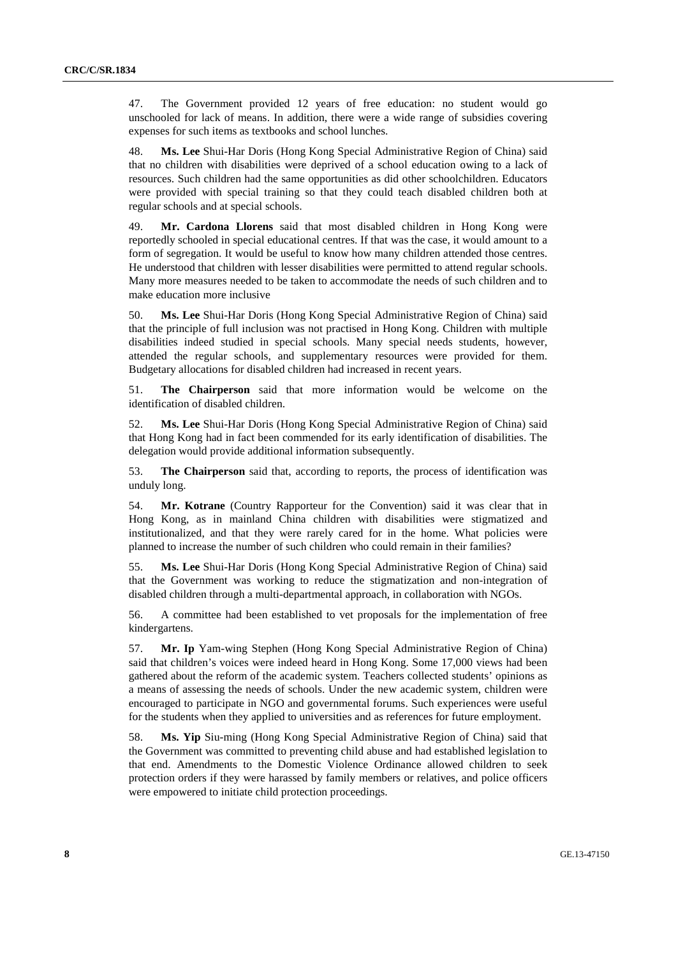47. The Government provided 12 years of free education: no student would go unschooled for lack of means. In addition, there were a wide range of subsidies covering expenses for such items as textbooks and school lunches.

48. **Ms. Lee** Shui-Har Doris (Hong Kong Special Administrative Region of China) said that no children with disabilities were deprived of a school education owing to a lack of resources. Such children had the same opportunities as did other schoolchildren. Educators were provided with special training so that they could teach disabled children both at regular schools and at special schools.

49. **Mr. Cardona Llorens** said that most disabled children in Hong Kong were reportedly schooled in special educational centres. If that was the case, it would amount to a form of segregation. It would be useful to know how many children attended those centres. He understood that children with lesser disabilities were permitted to attend regular schools. Many more measures needed to be taken to accommodate the needs of such children and to make education more inclusive

50. **Ms. Lee** Shui-Har Doris (Hong Kong Special Administrative Region of China) said that the principle of full inclusion was not practised in Hong Kong. Children with multiple disabilities indeed studied in special schools. Many special needs students, however, attended the regular schools, and supplementary resources were provided for them. Budgetary allocations for disabled children had increased in recent years.

51. **The Chairperson** said that more information would be welcome on the identification of disabled children.

52. **Ms. Lee** Shui-Har Doris (Hong Kong Special Administrative Region of China) said that Hong Kong had in fact been commended for its early identification of disabilities. The delegation would provide additional information subsequently.

53. **The Chairperson** said that, according to reports, the process of identification was unduly long.

54. **Mr. Kotrane** (Country Rapporteur for the Convention) said it was clear that in Hong Kong, as in mainland China children with disabilities were stigmatized and institutionalized, and that they were rarely cared for in the home. What policies were planned to increase the number of such children who could remain in their families?

55. **Ms. Lee** Shui-Har Doris (Hong Kong Special Administrative Region of China) said that the Government was working to reduce the stigmatization and non-integration of disabled children through a multi-departmental approach, in collaboration with NGOs.

56. A committee had been established to vet proposals for the implementation of free kindergartens.

57. **Mr. Ip** Yam-wing Stephen (Hong Kong Special Administrative Region of China) said that children's voices were indeed heard in Hong Kong. Some 17,000 views had been gathered about the reform of the academic system. Teachers collected students' opinions as a means of assessing the needs of schools. Under the new academic system, children were encouraged to participate in NGO and governmental forums. Such experiences were useful for the students when they applied to universities and as references for future employment.

58. **Ms. Yip** Siu-ming (Hong Kong Special Administrative Region of China) said that the Government was committed to preventing child abuse and had established legislation to that end. Amendments to the Domestic Violence Ordinance allowed children to seek protection orders if they were harassed by family members or relatives, and police officers were empowered to initiate child protection proceedings.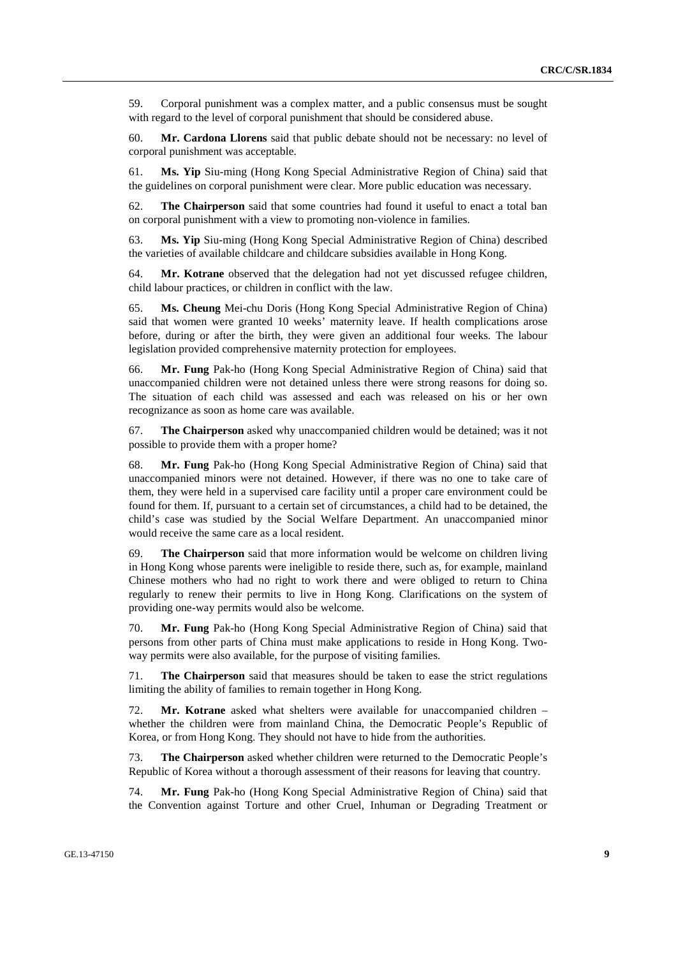59. Corporal punishment was a complex matter, and a public consensus must be sought with regard to the level of corporal punishment that should be considered abuse.

60. **Mr. Cardona Llorens** said that public debate should not be necessary: no level of corporal punishment was acceptable.

61. **Ms. Yip** Siu-ming (Hong Kong Special Administrative Region of China) said that the guidelines on corporal punishment were clear. More public education was necessary.

62. **The Chairperson** said that some countries had found it useful to enact a total ban on corporal punishment with a view to promoting non-violence in families.

63. **Ms. Yip** Siu-ming (Hong Kong Special Administrative Region of China) described the varieties of available childcare and childcare subsidies available in Hong Kong.

64. **Mr. Kotrane** observed that the delegation had not yet discussed refugee children, child labour practices, or children in conflict with the law.

65. **Ms. Cheung** Mei-chu Doris (Hong Kong Special Administrative Region of China) said that women were granted 10 weeks' maternity leave. If health complications arose before, during or after the birth, they were given an additional four weeks. The labour legislation provided comprehensive maternity protection for employees.

66. **Mr. Fung** Pak-ho (Hong Kong Special Administrative Region of China) said that unaccompanied children were not detained unless there were strong reasons for doing so. The situation of each child was assessed and each was released on his or her own recognizance as soon as home care was available.

67. **The Chairperson** asked why unaccompanied children would be detained; was it not possible to provide them with a proper home?

68. **Mr. Fung** Pak-ho (Hong Kong Special Administrative Region of China) said that unaccompanied minors were not detained. However, if there was no one to take care of them, they were held in a supervised care facility until a proper care environment could be found for them. If, pursuant to a certain set of circumstances, a child had to be detained, the child's case was studied by the Social Welfare Department. An unaccompanied minor would receive the same care as a local resident.

69. **The Chairperson** said that more information would be welcome on children living in Hong Kong whose parents were ineligible to reside there, such as, for example, mainland Chinese mothers who had no right to work there and were obliged to return to China regularly to renew their permits to live in Hong Kong. Clarifications on the system of providing one-way permits would also be welcome.

70. **Mr. Fung** Pak-ho (Hong Kong Special Administrative Region of China) said that persons from other parts of China must make applications to reside in Hong Kong. Twoway permits were also available, for the purpose of visiting families.

71. **The Chairperson** said that measures should be taken to ease the strict regulations limiting the ability of families to remain together in Hong Kong.

72. **Mr. Kotrane** asked what shelters were available for unaccompanied children – whether the children were from mainland China, the Democratic People's Republic of Korea, or from Hong Kong. They should not have to hide from the authorities.

73. **The Chairperson** asked whether children were returned to the Democratic People's Republic of Korea without a thorough assessment of their reasons for leaving that country.

74. **Mr. Fung** Pak-ho (Hong Kong Special Administrative Region of China) said that the Convention against Torture and other Cruel, Inhuman or Degrading Treatment or